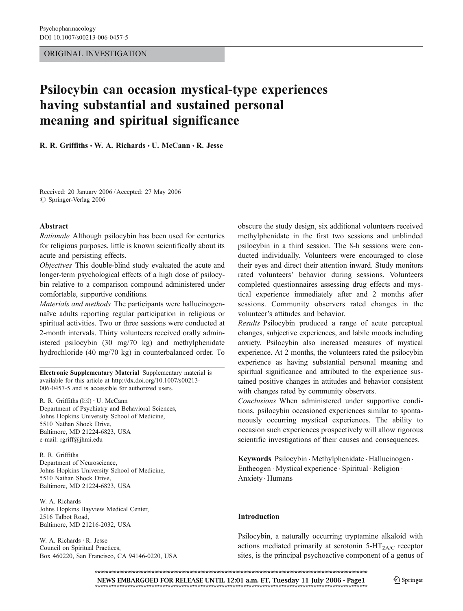## ORIGINAL INVESTIGATION

# Psilocybin can occasion mystical-type experiences having substantial and sustained personal meaning and spiritual significance

R. R. Griffiths · W. A. Richards · U. McCann · R. Jesse

Received: 20 January 2006 /Accepted: 27 May 2006  $\oslash$  Springer-Verlag 2006

# Abstract

Rationale Although psilocybin has been used for centuries for religious purposes, little is known scientifically about its acute and persisting effects.

Objectives This double-blind study evaluated the acute and longer-term psychological effects of a high dose of psilocybin relative to a comparison compound administered under comfortable, supportive conditions.

Materials and methods The participants were hallucinogennaïve adults reporting regular participation in religious or spiritual activities. Two or three sessions were conducted at 2-month intervals. Thirty volunteers received orally administered psilocybin (30 mg/70 kg) and methylphenidate hydrochloride (40 mg/70 kg) in counterbalanced order. To

Electronic Supplementary Material Supplementary material is available for this article at [http://dx.doi.org/10.1007/s00213-](http://dx.doi.org/10.1007/s00213-006-0457-5) [006-0457-5 and is accessible for authorized users.](http://dx.doi.org/10.1007/s00213-006-0457-5)

R. R. Griffiths (*\**) : U. McCann Department of Psychiatry and Behavioral Sciences, Johns Hopkins University School of Medicine, 5510 Nathan Shock Drive, Baltimore, MD 21224-6823, USA e-mail: rgriff@jhmi.edu

R. R. Griffiths Department of Neuroscience, Johns Hopkins University School of Medicine, 5510 Nathan Shock Drive, Baltimore, MD 21224-6823, USA

W. A. Richards Johns Hopkins Bayview Medical Center, 2516 Talbot Road, Baltimore, MD 21216-2032, USA

W. A. Richards · R. Jesse Council on Spiritual Practices, Box 460220, San Francisco, CA 94146-0220, USA obscure the study design, six additional volunteers received methylphenidate in the first two sessions and unblinded psilocybin in a third session. The 8-h sessions were conducted individually. Volunteers were encouraged to close their eyes and direct their attention inward. Study monitors rated volunteers' behavior during sessions. Volunteers completed questionnaires assessing drug effects and mystical experience immediately after and 2 months after sessions. Community observers rated changes in the volunteer's attitudes and behavior.

Results Psilocybin produced a range of acute perceptual changes, subjective experiences, and labile moods including anxiety. Psilocybin also increased measures of mystical experience. At 2 months, the volunteers rated the psilocybin experience as having substantial personal meaning and spiritual significance and attributed to the experience sustained positive changes in attitudes and behavior consistent with changes rated by community observers.

Conclusions When administered under supportive conditions, psilocybin occasioned experiences similar to spontaneously occurring mystical experiences. The ability to occasion such experiences prospectively will allow rigorous scientific investigations of their causes and consequences.

Keywords Psilocybin . Methylphenidate . Hallucinogen . Entheogen . Mystical experience . Spiritual . Religion . Anxiety . Humans

# Introduction

Psilocybin, a naturally occurring tryptamine alkaloid with actions mediated primarily at serotonin  $5-HT<sub>2A/C</sub>$  receptor sites, is the principal psychoactive component of a genus of

\*\*\*\*\*\*\*\*\*\*\*\*\*\*\*\*\*\*\*\*\*\*\*\*\*\*\*\*\*\*\*\*\*\*\*\*\*\*\*\*\*\*\*\*\*\*\*\*\*\*\*\*\*\*\*\*\*\*\*\*\*\*\*\*\*\*\*\*\*\*\*\*\*\*\*\*\*\*\*\*\*\*\*\*\*\*\*\*\*\*\*\*\*\*\*\*\*\*\*\*\* NEWS EMBARGOED FOR RELEASE UNTIL 12:01 a.m. ET, Tuesday 11 July 2006 - Page 1

\*\*\*\*\*\*\*\*\*\*\*\*\*\*\*\*\*\*\*\*\*\*\*\*\*\*\*\*\*\*\*\*\*\*\*\*\*\*\*\*\*\*\*\*\*\*\*\*\*\*\*\*\*\*\*\*\*\*\*\*\*\*\*\*\*\*\*\*\*\*\*\*\*\*\*\*\*\*\*\*\*\*\*\*\*\*\*\*\*\*\*\*\*\*\*\*\*\*\*\*\*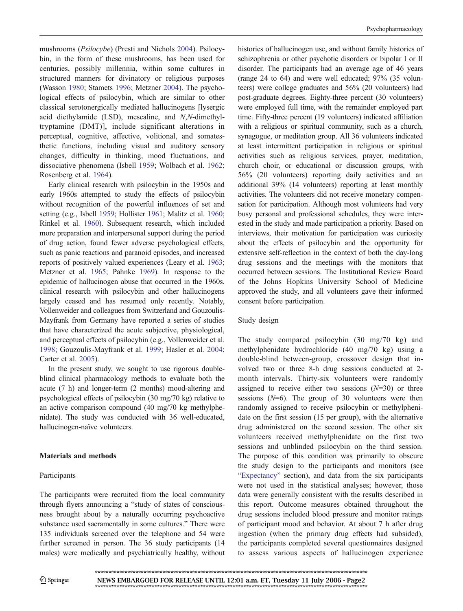<span id="page-1-0"></span>mushrooms (Psilocybe) (Presti and Nichols [2004](#page-15-0)). Psilocybin, in the form of these mushrooms, has been used for centuries, possibly millennia, within some cultures in structured manners for divinatory or religious purposes (Wasson [1980](#page-15-0); Stamets [1996](#page-15-0); Metzner [2004](#page-15-0)). The psychological effects of psilocybin, which are similar to other classical serotonergically mediated hallucinogens [lysergic acid diethylamide (LSD), mescaline, and N,N-dimethyltryptamine (DMT)], include significant alterations in perceptual, cognitive, affective, volitional, and somatesthetic functions, including visual and auditory sensory changes, difficulty in thinking, mood fluctuations, and dissociative phenomena (Isbell [1959;](#page-14-0) Wolbach et al. [1962](#page-15-0); Rosenberg et al. [1964\)](#page-15-0).

Early clinical research with psilocybin in the 1950s and early 1960s attempted to study the effects of psilocybin without recognition of the powerful influences of set and setting (e.g., Isbell [1959](#page-14-0); Hollister [1961;](#page-14-0) Malitz et al. [1960](#page-15-0); Rinkel et al. [1960](#page-15-0)). Subsequent research, which included more preparation and interpersonal support during the period of drug action, found fewer adverse psychological effects, such as panic reactions and paranoid episodes, and increased reports of positively valued experiences (Leary et al. [1963](#page-14-0); Metzner et al. [1965](#page-15-0); Pahnke [1969\)](#page-15-0). In response to the epidemic of hallucinogen abuse that occurred in the 1960s, clinical research with psilocybin and other hallucinogens largely ceased and has resumed only recently. Notably, Vollenweider and colleagues from Switzerland and Gouzoulis-Mayfrank from Germany have reported a series of studies that have characterized the acute subjective, physiological, and perceptual effects of psilocybin (e.g., Vollenweider et al. [1998;](#page-15-0) Gouzoulis-Mayfrank et al. [1999](#page-14-0); Hasler et al. [2004](#page-14-0); Carter et al. [2005\)](#page-14-0).

In the present study, we sought to use rigorous doubleblind clinical pharmacology methods to evaluate both the acute (7 h) and longer-term (2 months) mood-altering and psychological effects of psilocybin (30 mg/70 kg) relative to an active comparison compound (40 mg/70 kg methylphenidate). The study was conducted with 36 well-educated, hallucinogen-naïve volunteers.

# Materials and methods

#### Participants

The participants were recruited from the local community through flyers announcing a "study of states of consciousness brought about by a naturally occurring psychoactive substance used sacramentally in some cultures." There were 135 individuals screened over the telephone and 54 were further screened in person. The 36 study participants (14 males) were medically and psychiatrically healthy, without histories of hallucinogen use, and without family histories of schizophrenia or other psychotic disorders or bipolar I or II disorder. The participants had an average age of 46 years (range 24 to 64) and were well educated; 97% (35 volunteers) were college graduates and 56% (20 volunteers) had post-graduate degrees. Eighty-three percent (30 volunteers) were employed full time, with the remainder employed part time. Fifty-three percent (19 volunteers) indicated affiliation with a religious or spiritual community, such as a church, synagogue, or meditation group. All 36 volunteers indicated at least intermittent participation in religious or spiritual activities such as religious services, prayer, meditation, church choir, or educational or discussion groups, with 56% (20 volunteers) reporting daily activities and an additional 39% (14 volunteers) reporting at least monthly activities. The volunteers did not receive monetary compensation for participation. Although most volunteers had very busy personal and professional schedules, they were interested in the study and made participation a priority. Based on interviews, their motivation for participation was curiosity about the effects of psilocybin and the opportunity for extensive self-reflection in the context of both the day-long drug sessions and the meetings with the monitors that occurred between sessions. The Institutional Review Board of the Johns Hopkins University School of Medicine approved the study, and all volunteers gave their informed consent before participation.

# Study design

The study compared psilocybin (30 mg/70 kg) and methylphenidate hydrochloride (40 mg/70 kg) using a double-blind between-group, crossover design that involved two or three 8-h drug sessions conducted at 2 month intervals. Thirty-six volunteers were randomly assigned to receive either two sessions  $(N=30)$  or three sessions  $(N=6)$ . The group of 30 volunteers were then randomly assigned to receive psilocybin or methylphenidate on the first session (15 per group), with the alternative drug administered on the second session. The other six volunteers received methylphenidate on the first two sessions and unblinded psilocybin on the third session. The purpose of this condition was primarily to obscure the study design to the participants and monitors (see "[Expectancy](#page-2-0)" section), and data from the six participants were not used in the statistical analyses; however, those data were generally consistent with the results described in this report. Outcome measures obtained throughout the drug sessions included blood pressure and monitor ratings of participant mood and behavior. At about 7 h after drug ingestion (when the primary drug effects had subsided), the participants completed several questionnaires designed to assess various aspects of hallucinogen experience

\*\*\*\*\*\*\*\*\*\*\*\*\*\*\*\*\*\*\*\*\*\*\*\*\*\*\*\*\*\*\*\*\*\*\*\*\*\*\*\*\*\*\*\*\*\*\*\*\*\*\*\*\*\*\*\*\*\*\*\*\*\*\*\*\*\*\*\*\*\*\*\*\*\*\*\*\*\*\*\*\*\*\*\*\*\*\*\*\*\*\*\*\*\*\*\*\*\*\*\*\* NEWS EMBARGOED FOR RELEASE UNTIL 12:01 a.m. ET, Tuesday 11 July 2006 - Page 2 \*\*\*\*\*\*\*\*\*\*\*\*\*\*\*\*\*\*\*\*\*\*\*\*\*\*\*\*\*\*\*\*\*\*\*\*\*\*\*\*\*\*\*\*\*\*\*\*\*\*\*\*\*\*\*\*\*\*\*\*\*\*\*\*\*\*\*\*\*\*\*\*\*\*\*\*\*\*\*\*\*\*\*\*\*\*\*\*\*\*\*\*\*\*\*\*\*\*\*\*\*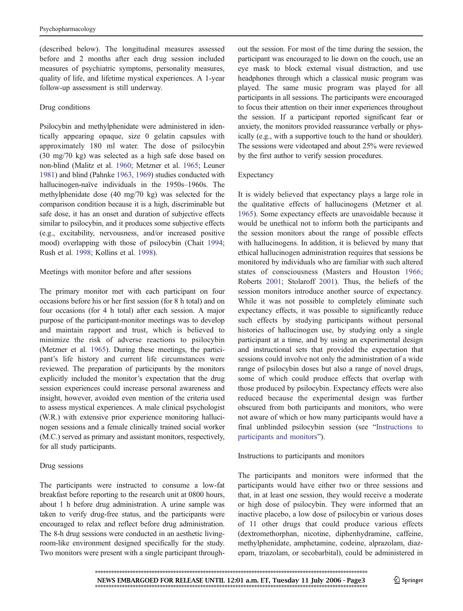<span id="page-2-0"></span>(described below). The longitudinal measures assessed before and 2 months after each drug session included measures of psychiatric symptoms, personality measures, quality of life, and lifetime mystical experiences. A 1-year follow-up assessment is still underway.

# Drug conditions

Psilocybin and methylphenidate were administered in identically appearing opaque, size 0 gelatin capsules with approximately 180 ml water. The dose of psilocybin (30 mg/70 kg) was selected as a high safe dose based on non-blind (Malitz et al. [1960;](#page-15-0) Metzner et al. [1965](#page-15-0); Leuner [1981\)](#page-15-0) and blind (Pahnke [1963,](#page-15-0) [1969](#page-15-0)) studies conducted with hallucinogen-naïve individuals in the 1950s–1960s. The methylphenidate dose (40 mg/70 kg) was selected for the comparison condition because it is a high, discriminable but safe dose, it has an onset and duration of subjective effects similar to psilocybin, and it produces some subjective effects (e.g., excitability, nervousness, and/or increased positive mood) overlapping with those of psilocybin (Chait [1994](#page-14-0); Rush et al. [1998;](#page-15-0) Kollins et al. [1998\)](#page-14-0).

# Meetings with monitor before and after sessions

The primary monitor met with each participant on four occasions before his or her first session (for 8 h total) and on four occasions (for 4 h total) after each session. A major purpose of the participant-monitor meetings was to develop and maintain rapport and trust, which is believed to minimize the risk of adverse reactions to psilocybin (Metzner et al. [1965](#page-15-0)). During these meetings, the participant's life history and current life circumstances were reviewed. The preparation of participants by the monitors explicitly included the monitor's expectation that the drug session experiences could increase personal awareness and insight, however, avoided even mention of the criteria used to assess mystical experiences. A male clinical psychologist (W.R.) with extensive prior experience monitoring hallucinogen sessions and a female clinically trained social worker (M.C.) served as primary and assistant monitors, respectively, for all study participants.

#### Drug sessions

The participants were instructed to consume a low-fat breakfast before reporting to the research unit at 0800 hours, about 1 h before drug administration. A urine sample was taken to verify drug-free status, and the participants were encouraged to relax and reflect before drug administration. The 8-h drug sessions were conducted in an aesthetic livingroom-like environment designed specifically for the study. Two monitors were present with a single participant throughout the session. For most of the time during the session, the participant was encouraged to lie down on the couch, use an eye mask to block external visual distraction, and use headphones through which a classical music program was played. The same music program was played for all participants in all sessions. The participants were encouraged to focus their attention on their inner experiences throughout the session. If a participant reported significant fear or anxiety, the monitors provided reassurance verbally or physically (e.g., with a supportive touch to the hand or shoulder). The sessions were videotaped and about 25% were reviewed by the first author to verify session procedures.

# Expectancy

It is widely believed that expectancy plays a large role in the qualitative effects of hallucinogens (Metzner et al. [1965](#page-15-0)). Some expectancy effects are unavoidable because it would be unethical not to inform both the participants and the session monitors about the range of possible effects with hallucinogens. In addition, it is believed by many that ethical hallucinogen administration requires that sessions be monitored by individuals who are familiar with such altered states of consciousness (Masters and Houston [1966;](#page-15-0) Roberts [2001](#page-15-0); Stolaroff [2001\)](#page-15-0). Thus, the beliefs of the session monitors introduce another source of expectancy. While it was not possible to completely eliminate such expectancy effects, it was possible to significantly reduce such effects by studying participants without personal histories of hallucinogen use, by studying only a single participant at a time, and by using an experimental design and instructional sets that provided the expectation that sessions could involve not only the administration of a wide range of psilocybin doses but also a range of novel drugs, some of which could produce effects that overlap with those produced by psilocybin. Expectancy effects were also reduced because the experimental design was further obscured from both participants and monitors, who were not aware of which or how many participants would have a final unblinded psilocybin session (see "Instructions to participants and monitors").

### Instructions to participants and monitors

The participants and monitors were informed that the participants would have either two or three sessions and that, in at least one session, they would receive a moderate or high dose of psilocybin. They were informed that an inactive placebo, a low dose of psilocybin or various doses of 11 other drugs that could produce various effects (dextromethorphan, nicotine, diphenhydramine, caffeine, methylphenidate, amphetamine, codeine, alprazolam, diazepam, triazolam, or secobarbital), could be administered in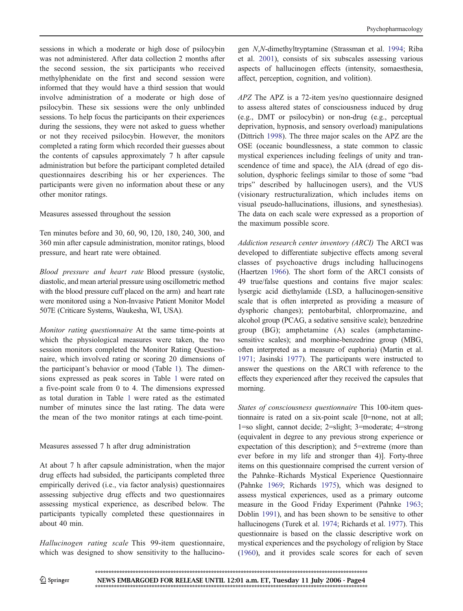sessions in which a moderate or high dose of psilocybin was not administered. After data collection 2 months after the second session, the six participants who received methylphenidate on the first and second session were informed that they would have a third session that would involve administration of a moderate or high dose of psilocybin. These six sessions were the only unblinded sessions. To help focus the participants on their experiences during the sessions, they were not asked to guess whether or not they received psilocybin. However, the monitors completed a rating form which recorded their guesses about the contents of capsules approximately 7 h after capsule administration but before the participant completed detailed questionnaires describing his or her experiences. The participants were given no information about these or any other monitor ratings.

Measures assessed throughout the session

Ten minutes before and 30, 60, 90, 120, 180, 240, 300, and 360 min after capsule administration, monitor ratings, blood pressure, and heart rate were obtained.

Blood pressure and heart rate Blood pressure (systolic, diastolic, and mean arterial pressure using oscillometric method with the blood pressure cuff placed on the arm) and heart rate were monitored using a Non-Invasive Patient Monitor Model 507E (Criticare Systems, Waukesha, WI, USA).

Monitor rating questionnaire At the same time-points at which the physiological measures were taken, the two session monitors completed the Monitor Rating Questionnaire, which involved rating or scoring 20 dimensions of the participant's behavior or mood (Table [1\)](#page-7-0). The dimensions expressed as peak scores in Table [1](#page-7-0) were rated on a five-point scale from 0 to 4. The dimensions expressed as total duration in Table [1](#page-7-0) were rated as the estimated number of minutes since the last rating. The data were the mean of the two monitor ratings at each time-point.

Measures assessed 7 h after drug administration

At about 7 h after capsule administration, when the major drug effects had subsided, the participants completed three empirically derived (i.e., via factor analysis) questionnaires assessing subjective drug effects and two questionnaires assessing mystical experience, as described below. The participants typically completed these questionnaires in about 40 min.

Hallucinogen rating scale This 99-item questionnaire, which was designed to show sensitivity to the hallucinogen N,N-dimethyltryptamine (Strassman et al. [1994;](#page-15-0) Riba et al. [2001](#page-15-0)), consists of six subscales assessing various aspects of hallucinogen effects (intensity, somaesthesia, affect, perception, cognition, and volition).

APZ The APZ is a 72-item yes/no questionnaire designed to assess altered states of consciousness induced by drug (e.g., DMT or psilocybin) or non-drug (e.g., perceptual deprivation, hypnosis, and sensory overload) manipulations (Dittrich [1998](#page-14-0)). The three major scales on the APZ are the OSE (oceanic boundlessness, a state common to classic mystical experiences including feelings of unity and transcendence of time and space), the AIA (dread of ego dissolution, dysphoric feelings similar to those of some "bad trips" described by hallucinogen users), and the VUS (visionary restructuralization, which includes items on visual pseudo-hallucinations, illusions, and synesthesias). The data on each scale were expressed as a proportion of the maximum possible score.

Addiction research center inventory (ARCI) The ARCI was developed to differentiate subjective effects among several classes of psychoactive drugs including hallucinogens (Haertzen [1966](#page-14-0)). The short form of the ARCI consists of 49 true/false questions and contains five major scales: lysergic acid diethylamide (LSD, a hallucinogen-sensitive scale that is often interpreted as providing a measure of dysphoric changes); pentobarbital, chlorpromazine, and alcohol group (PCAG, a sedative sensitive scale); benzedrine group (BG); amphetamine (A) scales (amphetaminesensitive scales); and morphine-benzedrine group (MBG, often interpreted as a measure of euphoria) (Martin et al. [1971;](#page-15-0) Jasinski [1977\)](#page-14-0). The participants were instructed to answer the questions on the ARCI with reference to the effects they experienced after they received the capsules that morning.

States of consciousness questionnaire This 100-item questionnaire is rated on a six-point scale [0=none, not at all; 1=so slight, cannot decide; 2=slight; 3=moderate; 4=strong (equivalent in degree to any previous strong experience or expectation of this description); and 5=extreme (more than ever before in my life and stronger than 4)]. Forty-three items on this questionnaire comprised the current version of the Pahnke–Richards Mystical Experience Questionnaire (Pahnke [1969;](#page-15-0) Richards [1975\)](#page-15-0), which was designed to assess mystical experiences, used as a primary outcome measure in the Good Friday Experiment (Pahnke [1963;](#page-15-0) Doblin [1991](#page-14-0)), and has been shown to be sensitive to other hallucinogens (Turek et al. [1974;](#page-15-0) Richards et al. [1977](#page-15-0)). This questionnaire is based on the classic descriptive work on mystical experiences and the psychology of religion by Stace [\(1960\)](#page-15-0), and it provides scale scores for each of seven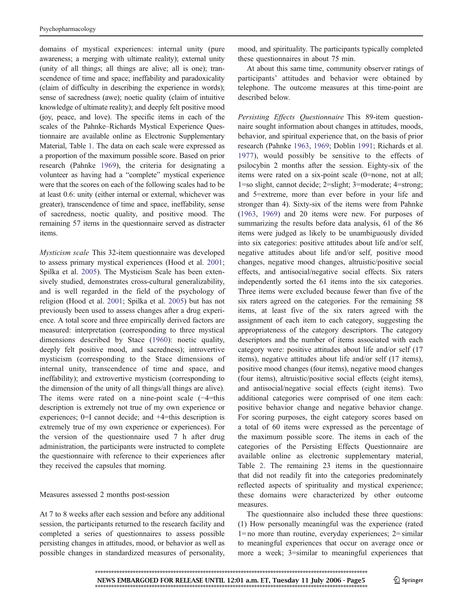domains of mystical experiences: internal unity (pure awareness; a merging with ultimate reality); external unity (unity of all things; all things are alive; all is one); transcendence of time and space; ineffability and paradoxicality (claim of difficulty in describing the experience in words); sense of sacredness (awe); noetic quality (claim of intuitive knowledge of ultimate reality); and deeply felt positive mood (joy, peace, and love). The specific items in each of the scales of the Pahnke–Richards Mystical Experience Questionnaire are available online as Electronic Supplementary Material, Table 1. The data on each scale were expressed as a proportion of the maximum possible score. Based on prior research (Pahnke [1969](#page-15-0)), the criteria for designating a volunteer as having had a "complete" mystical experience were that the scores on each of the following scales had to be at least 0.6: unity (either internal or external, whichever was greater), transcendence of time and space, ineffability, sense of sacredness, noetic quality, and positive mood. The remaining 57 items in the questionnaire served as distracter items.

Mysticism scale This 32-item questionnaire was developed to assess primary mystical experiences (Hood et al. [2001](#page-14-0); Spilka et al. [2005\)](#page-15-0). The Mysticism Scale has been extensively studied, demonstrates cross-cultural generalizability, and is well regarded in the field of the psychology of religion (Hood et al. [2001;](#page-14-0) Spilka et al. [2005\)](#page-15-0) but has not previously been used to assess changes after a drug experience. A total score and three empirically derived factors are measured: interpretation (corresponding to three mystical dimensions described by Stace ([1960\)](#page-15-0): noetic quality, deeply felt positive mood, and sacredness); introvertive mysticism (corresponding to the Stace dimensions of internal unity, transcendence of time and space, and ineffability); and extrovertive mysticism (corresponding to the dimension of the unity of all things/all things are alive). The items were rated on a nine-point scale (−4=this description is extremely not true of my own experience or experiences; 0=I cannot decide; and +4=this description is extremely true of my own experience or experiences). For the version of the questionnaire used 7 h after drug administration, the participants were instructed to complete the questionnaire with reference to their experiences after they received the capsules that morning.

# Measures assessed 2 months post-session

At 7 to 8 weeks after each session and before any additional session, the participants returned to the research facility and completed a series of questionnaires to assess possible persisting changes in attitudes, mood, or behavior as well as possible changes in standardized measures of personality,

mood, and spirituality. The participants typically completed these questionnaires in about 75 min.

At about this same time, community observer ratings of participants' attitudes and behavior were obtained by telephone. The outcome measures at this time-point are described below.

Persisting Effects Questionnaire This 89-item questionnaire sought information about changes in attitudes, moods, behavior, and spiritual experience that, on the basis of prior research (Pahnke [1963,](#page-15-0) [1969](#page-15-0); Doblin [1991](#page-14-0); Richards et al. [1977\)](#page-15-0), would possibly be sensitive to the effects of psilocybin 2 months after the session. Eighty-six of the items were rated on a six-point scale (0=none, not at all; 1=so slight, cannot decide; 2=slight; 3=moderate; 4=strong; and 5=extreme, more than ever before in your life and stronger than 4). Sixty-six of the items were from Pahnke [\(1963](#page-15-0), [1969](#page-15-0)) and 20 items were new. For purposes of summarizing the results before data analysis, 61 of the 86 items were judged as likely to be unambiguously divided into six categories: positive attitudes about life and/or self, negative attitudes about life and/or self, positive mood changes, negative mood changes, altruistic/positive social effects, and antisocial/negative social effects. Six raters independently sorted the 61 items into the six categories. Three items were excluded because fewer than five of the six raters agreed on the categories. For the remaining 58 items, at least five of the six raters agreed with the assignment of each item to each category, suggesting the appropriateness of the category descriptors. The category descriptors and the number of items associated with each category were: positive attitudes about life and/or self (17 items), negative attitudes about life and/or self (17 items), positive mood changes (four items), negative mood changes (four items), altruistic/positive social effects (eight items), and antisocial/negative social effects (eight items). Two additional categories were comprised of one item each: positive behavior change and negative behavior change. For scoring purposes, the eight category scores based on a total of 60 items were expressed as the percentage of the maximum possible score. The items in each of the categories of the Persisting Effects Questionnaire are available online as electronic supplementary material, Table 2. The remaining 23 items in the questionnaire that did not readily fit into the categories predominately reflected aspects of spirituality and mystical experience; these domains were characterized by other outcome measures.

The questionnaire also included these three questions: (1) How personally meaningful was the experience (rated  $1=$  no more than routine, everyday experiences;  $2=$  similar to meaningful experiences that occur on average once or more a week; 3=similar to meaningful experiences that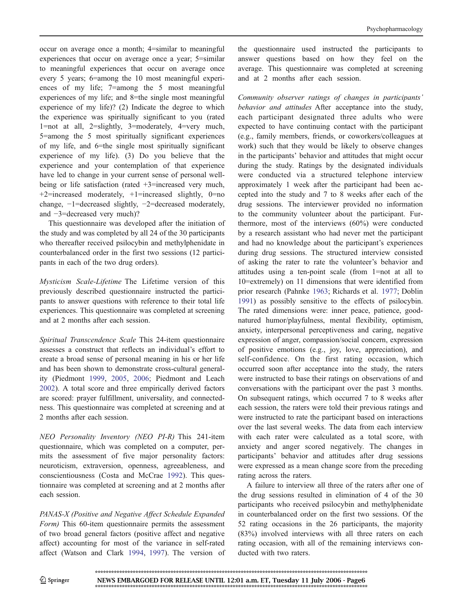occur on average once a month; 4=similar to meaningful experiences that occur on average once a year; 5=similar to meaningful experiences that occur on average once every 5 years; 6=among the 10 most meaningful experiences of my life; 7=among the 5 most meaningful experiences of my life; and 8=the single most meaningful experience of my life)? (2) Indicate the degree to which the experience was spiritually significant to you (rated 1=not at all, 2=slightly, 3=moderately, 4=very much, 5=among the 5 most spiritually significant experiences of my life, and 6=the single most spiritually significant experience of my life). (3) Do you believe that the experience and your contemplation of that experience have led to change in your current sense of personal wellbeing or life satisfaction (rated +3=increased very much,  $+2$ =increased moderately,  $+1$ =increased slightly, 0=no change, −1=decreased slightly, −2=decreased moderately, and −3=decreased very much)?

This questionnaire was developed after the initiation of the study and was completed by all 24 of the 30 participants who thereafter received psilocybin and methylphenidate in counterbalanced order in the first two sessions (12 participants in each of the two drug orders).

Mysticism Scale-Lifetime The Lifetime version of this previously described questionnaire instructed the participants to answer questions with reference to their total life experiences. This questionnaire was completed at screening and at 2 months after each session.

Spiritual Transcendence Scale This 24-item questionnaire assesses a construct that reflects an individual's effort to create a broad sense of personal meaning in his or her life and has been shown to demonstrate cross-cultural generality (Piedmont [1999,](#page-15-0) [2005](#page-15-0), [2006;](#page-15-0) Piedmont and Leach [2002\)](#page-15-0). A total score and three empirically derived factors are scored: prayer fulfillment, universality, and connectedness. This questionnaire was completed at screening and at 2 months after each session.

NEO Personality Inventory (NEO PI-R) This 241-item questionnaire, which was completed on a computer, permits the assessment of five major personality factors: neuroticism, extraversion, openness, agreeableness, and conscientiousness (Costa and McCrae [1992](#page-14-0)). This questionnaire was completed at screening and at 2 months after each session.

PANAS-X (Positive and Negative Affect Schedule Expanded Form) This 60-item questionnaire permits the assessment of two broad general factors (positive affect and negative affect) accounting for most of the variance in self-rated affect (Watson and Clark [1994,](#page-15-0) [1997\)](#page-15-0). The version of the questionnaire used instructed the participants to answer questions based on how they feel on the average. This questionnaire was completed at screening and at 2 months after each session.

Community observer ratings of changes in participants' behavior and attitudes After acceptance into the study, each participant designated three adults who were expected to have continuing contact with the participant (e.g., family members, friends, or coworkers/colleagues at work) such that they would be likely to observe changes in the participants' behavior and attitudes that might occur during the study. Ratings by the designated individuals were conducted via a structured telephone interview approximately 1 week after the participant had been accepted into the study and 7 to 8 weeks after each of the drug sessions. The interviewer provided no information to the community volunteer about the participant. Furthermore, most of the interviews (60%) were conducted by a research assistant who had never met the participant and had no knowledge about the participant's experiences during drug sessions. The structured interview consisted of asking the rater to rate the volunteer's behavior and attitudes using a ten-point scale (from 1=not at all to 10=extremely) on 11 dimensions that were identified from prior research (Pahnke [1963](#page-15-0); Richards et al. [1977;](#page-15-0) Doblin [1991](#page-14-0)) as possibly sensitive to the effects of psilocybin. The rated dimensions were: inner peace, patience, goodnatured humor/playfulness, mental flexibility, optimism, anxiety, interpersonal perceptiveness and caring, negative expression of anger, compassion/social concern, expression of positive emotions (e.g., joy, love, appreciation), and self-confidence. On the first rating occasion, which occurred soon after acceptance into the study, the raters were instructed to base their ratings on observations of and conversations with the participant over the past 3 months. On subsequent ratings, which occurred 7 to 8 weeks after each session, the raters were told their previous ratings and were instructed to rate the participant based on interactions over the last several weeks. The data from each interview with each rater were calculated as a total score, with anxiety and anger scored negatively. The changes in participants' behavior and attitudes after drug sessions were expressed as a mean change score from the preceding rating across the raters.

A failure to interview all three of the raters after one of the drug sessions resulted in elimination of 4 of the 30 participants who received psilocybin and methylphenidate in counterbalanced order on the first two sessions. Of the 52 rating occasions in the 26 participants, the majority (83%) involved interviews with all three raters on each rating occasion, with all of the remaining interviews conducted with two raters.

<sup>\*\*\*\*\*\*\*\*\*\*\*\*\*\*\*\*\*\*\*\*\*\*\*\*\*\*\*\*\*\*\*\*\*\*\*\*\*\*\*\*\*\*\*\*\*\*\*\*\*\*\*\*\*\*\*\*\*\*\*\*\*\*\*\*\*\*\*\*\*\*\*\*\*\*\*\*\*\*\*\*\*\*\*\*\*\*\*\*\*\*\*\*\*\*\*\*\*\*\*\*\*</sup> NEWS EMBARGOED FOR RELEASE UNTIL 12:01 a.m. ET, Tuesday 11 July 2006 - Page 6 \*\*\*\*\*\*\*\*\*\*\*\*\*\*\*\*\*\*\*\*\*\*\*\*\*\*\*\*\*\*\*\*\*\*\*\*\*\*\*\*\*\*\*\*\*\*\*\*\*\*\*\*\*\*\*\*\*\*\*\*\*\*\*\*\*\*\*\*\*\*\*\*\*\*\*\*\*\*\*\*\*\*\*\*\*\*\*\*\*\*\*\*\*\*\*\*\*\*\*\*\*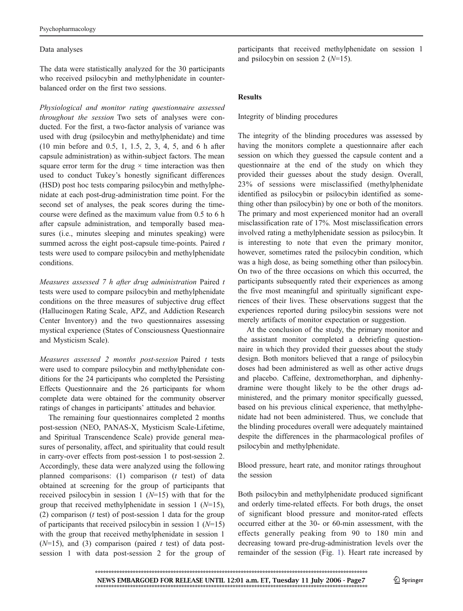# Data analyses

The data were statistically analyzed for the 30 participants who received psilocybin and methylphenidate in counterbalanced order on the first two sessions.

Physiological and monitor rating questionnaire assessed throughout the session Two sets of analyses were conducted. For the first, a two-factor analysis of variance was used with drug (psilocybin and methylphenidate) and time (10 min before and 0.5, 1, 1.5, 2, 3, 4, 5, and 6 h after capsule administration) as within-subject factors. The mean square error term for the drug  $\times$  time interaction was then used to conduct Tukey's honestly significant differences (HSD) post hoc tests comparing psilocybin and methylphenidate at each post-drug-administration time point. For the second set of analyses, the peak scores during the timecourse were defined as the maximum value from 0.5 to 6 h after capsule administration, and temporally based measures (i.e., minutes sleeping and minutes speaking) were summed across the eight post-capsule time-points. Paired t tests were used to compare psilocybin and methylphenidate conditions.

Measures assessed 7 h after drug administration Paired t tests were used to compare psilocybin and methylphenidate conditions on the three measures of subjective drug effect (Hallucinogen Rating Scale, APZ, and Addiction Research Center Inventory) and the two questionnaires assessing mystical experience (States of Consciousness Questionnaire and Mysticism Scale).

Measures assessed 2 months post-session Paired t tests were used to compare psilocybin and methylphenidate conditions for the 24 participants who completed the Persisting Effects Questionnaire and the 26 participants for whom complete data were obtained for the community observer ratings of changes in participants' attitudes and behavior.

The remaining four questionnaires completed 2 months post-session (NEO, PANAS-X, Mysticism Scale-Lifetime, and Spiritual Transcendence Scale) provide general measures of personality, affect, and spirituality that could result in carry-over effects from post-session 1 to post-session 2. Accordingly, these data were analyzed using the following planned comparisons: (1) comparison  $(t$  test) of data obtained at screening for the group of participants that received psilocybin in session 1 ( $N=15$ ) with that for the group that received methylphenidate in session 1 ( $N=15$ ), (2) comparison  $(t \text{ test})$  of post-session 1 data for the group of participants that received psilocybin in session  $1 (N=15)$ with the group that received methylphenidate in session 1  $(N=15)$ , and (3) comparison (paired t test) of data postsession 1 with data post-session 2 for the group of

participants that received methylphenidate on session 1 and psilocybin on session 2  $(N=15)$ .

# Results

Integrity of blinding procedures

The integrity of the blinding procedures was assessed by having the monitors complete a questionnaire after each session on which they guessed the capsule content and a questionnaire at the end of the study on which they provided their guesses about the study design. Overall, 23% of sessions were misclassified (methylphenidate identified as psilocybin or psilocybin identified as something other than psilocybin) by one or both of the monitors. The primary and most experienced monitor had an overall misclassification rate of 17%. Most misclassification errors involved rating a methylphenidate session as psilocybin. It is interesting to note that even the primary monitor, however, sometimes rated the psilocybin condition, which was a high dose, as being something other than psilocybin. On two of the three occasions on which this occurred, the participants subsequently rated their experiences as among the five most meaningful and spiritually significant experiences of their lives. These observations suggest that the experiences reported during psilocybin sessions were not merely artifacts of monitor expectation or suggestion.

At the conclusion of the study, the primary monitor and the assistant monitor completed a debriefing questionnaire in which they provided their guesses about the study design. Both monitors believed that a range of psilocybin doses had been administered as well as other active drugs and placebo. Caffeine, dextromethorphan, and diphenhydramine were thought likely to be the other drugs administered, and the primary monitor specifically guessed, based on his previous clinical experience, that methylphenidate had not been administered. Thus, we conclude that the blinding procedures overall were adequately maintained despite the differences in the pharmacological profiles of psilocybin and methylphenidate.

Blood pressure, heart rate, and monitor ratings throughout the session

Both psilocybin and methylphenidate produced significant and orderly time-related effects. For both drugs, the onset of significant blood pressure and monitor-rated effects occurred either at the 30- or 60-min assessment, with the effects generally peaking from 90 to 180 min and decreasing toward pre-drug-administration levels over the remainder of the session (Fig. [1\)](#page-8-0). Heart rate increased by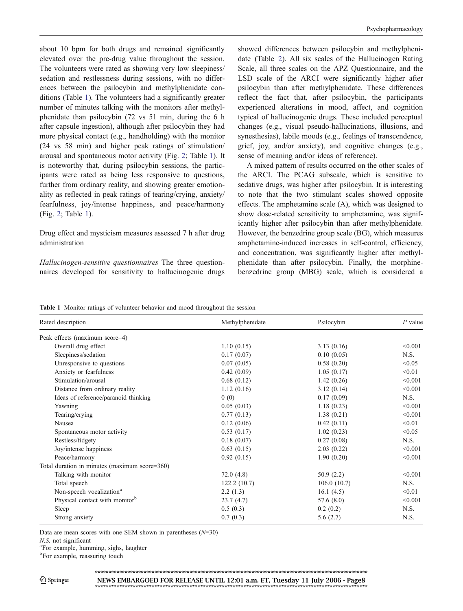<span id="page-7-0"></span>about 10 bpm for both drugs and remained significantly elevated over the pre-drug value throughout the session. The volunteers were rated as showing very low sleepiness/ sedation and restlessness during sessions, with no differences between the psilocybin and methylphenidate conditions (Table 1). The volunteers had a significantly greater number of minutes talking with the monitors after methylphenidate than psilocybin (72 vs 51 min, during the 6 h after capsule ingestion), although after psilocybin they had more physical contact (e.g., handholding) with the monitor (24 vs 58 min) and higher peak ratings of stimulation/ arousal and spontaneous motor activity (Fig. [2;](#page-9-0) Table 1). It is noteworthy that, during psilocybin sessions, the participants were rated as being less responsive to questions, further from ordinary reality, and showing greater emotionality as reflected in peak ratings of tearing/crying, anxiety/ fearfulness, joy/intense happiness, and peace/harmony (Fig. [2](#page-9-0); Table 1).

Drug effect and mysticism measures assessed 7 h after drug administration

Hallucinogen-sensitive questionnaires The three questionnaires developed for sensitivity to hallucinogenic drugs showed differences between psilocybin and methylphenidate (Table [2](#page-8-0)). All six scales of the Hallucinogen Rating Scale, all three scales on the APZ Questionnaire, and the LSD scale of the ARCI were significantly higher after psilocybin than after methylphenidate. These differences reflect the fact that, after psilocybin, the participants experienced alterations in mood, affect, and cognition typical of hallucinogenic drugs. These included perceptual changes (e.g., visual pseudo-hallucinations, illusions, and synesthesias), labile moods (e.g., feelings of transcendence, grief, joy, and/or anxiety), and cognitive changes (e.g., sense of meaning and/or ideas of reference).

A mixed pattern of results occurred on the other scales of the ARCI. The PCAG subscale, which is sensitive to sedative drugs, was higher after psilocybin. It is interesting to note that the two stimulant scales showed opposite effects. The amphetamine scale (A), which was designed to show dose-related sensitivity to amphetamine, was significantly higher after psilocybin than after methylphenidate. However, the benzedrine group scale (BG), which measures amphetamine-induced increases in self-control, efficiency, and concentration, was significantly higher after methylphenidate than after psilocybin. Finally, the morphinebenzedrine group (MBG) scale, which is considered a

Table 1 Monitor ratings of volunteer behavior and mood throughout the session

| Rated description                             | Methylphenidate | Psilocybin  | $P$ value |
|-----------------------------------------------|-----------------|-------------|-----------|
| Peak effects (maximum score=4)                |                 |             |           |
| Overall drug effect                           | 1.10(0.15)      | 3.13(0.16)  | < 0.001   |
| Sleepiness/sedation                           | 0.17(0.07)      | 0.10(0.05)  | N.S.      |
| Unresponsive to questions                     | 0.07(0.05)      | 0.58(0.20)  | < 0.05    |
| Anxiety or fearfulness                        | 0.42(0.09)      | 1.05(0.17)  | < 0.01    |
| Stimulation/arousal                           | 0.68(0.12)      | 1.42(0.26)  | < 0.001   |
| Distance from ordinary reality                | 1.12(0.16)      | 3.12(0.14)  | < 0.001   |
| Ideas of reference/paranoid thinking          | 0(0)            | 0.17(0.09)  | N.S.      |
| Yawning                                       | 0.05(0.03)      | 1.18(0.23)  | < 0.001   |
| Tearing/crying                                | 0.77(0.13)      | 1.38(0.21)  | < 0.001   |
| Nausea                                        | 0.12(0.06)      | 0.42(0.11)  | < 0.01    |
| Spontaneous motor activity                    | 0.53(0.17)      | 1.02(0.23)  | < 0.05    |
| Restless/fidgety                              | 0.18(0.07)      | 0.27(0.08)  | N.S.      |
| Joy/intense happiness                         | 0.63(0.15)      | 2.03(0.22)  | < 0.001   |
| Peace/harmony                                 | 0.92(0.15)      | 1.90(0.20)  | < 0.001   |
| Total duration in minutes (maximum score=360) |                 |             |           |
| Talking with monitor                          | 72.0(4.8)       | 50.9(2.2)   | < 0.001   |
| Total speech                                  | 122.2(10.7)     | 106.0(10.7) | N.S.      |
| Non-speech vocalization <sup>a</sup>          | 2.2(1.3)        | 16.1(4.5)   | < 0.01    |
| Physical contact with monitor <sup>b</sup>    | 23.7(4.7)       | 57.6(8.0)   | < 0.001   |
| Sleep                                         | 0.5(0.3)        | 0.2(0.2)    | N.S.      |
| Strong anxiety                                | 0.7(0.3)        | 5.6(2.7)    | N.S.      |

Data are mean scores with one SEM shown in parentheses  $(N=30)$ 

 $N.S.$  not significant

<sup>a</sup>For example, humming, sighs, laughter

**b**For example, reassuring touch

 $\textcircled{2}$  Springer

\*\*\*\*\*\*\*\*\*\*\*\*\*\*\*\*\*\*\*\*\*\*\*\*\*\*\*\*\*\*\*\*\*\*\*\*\*\*\*\*\*\*\*\*\*\*\*\*\*\*\*\*\*\*\*\*\*\*\*\*\*\*\*\*\*\*\*\*\*\*\*\*\*\*\*\*\*\*\*\*\*\*\*\*\*\*\*\*\*\*\*\*\*\*\*\*\*\*\*\*\* NEWS EMBARGOED FOR RELEASE UNTIL 12:01 a.m. ET, Tuesday 11 July 2006 - Page 8

\*\*\*\*\*\*\*\*\*\*\*\*\*\*\*\*\*\*\*\*\*\*\*\*\*\*\*\*\*\*\*\*\*\*\*\*\*\*\*\*\*\*\*\*\*\*\*\*\*\*\*\*\*\*\*\*\*\*\*\*\*\*\*\*\*\*\*\*\*\*\*\*\*\*\*\*\*\*\*\*\*\*\*\*\*\*\*\*\*\*\*\*\*\*\*\*\*\*\*\*\*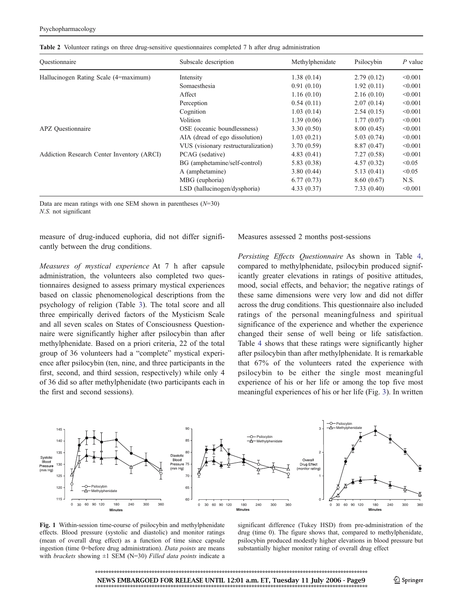| Ouestionnaire                              | Subscale description                | Methylphenidate | Psilocybin | $P$ value |
|--------------------------------------------|-------------------------------------|-----------------|------------|-----------|
| Hallucinogen Rating Scale (4=maximum)      | Intensity                           | 1.38(0.14)      | 2.79(0.12) | < 0.001   |
|                                            | Somaesthesia                        | 0.91(0.10)      | 1.92(0.11) | < 0.001   |
|                                            | Affect                              | 1.16(0.10)      | 2.16(0.10) | < 0.001   |
|                                            | Perception                          | 0.54(0.11)      | 2.07(0.14) | < 0.001   |
|                                            | Cognition                           | 1.03(0.14)      | 2.54(0.15) | < 0.001   |
|                                            | Volition                            | 1.39(0.06)      | 1.77(0.07) | < 0.001   |
| APZ Ouestionnaire                          | OSE (oceanic boundlessness)         | 3.30(0.50)      | 8.00(0.45) | < 0.001   |
|                                            | AIA (dread of ego dissolution)      | 1.03(0.21)      | 5.03(0.74) | < 0.001   |
|                                            | VUS (visionary restructuralization) | 3.70(0.59)      | 8.87(0.47) | < 0.001   |
| Addiction Research Center Inventory (ARCI) | PCAG (sedative)                     | 4.83(0.41)      | 7.27(0.58) | < 0.001   |
|                                            | BG (amphetamine/self-control)       | 5.83(0.38)      | 4.57(0.32) | < 0.05    |
|                                            | A (amphetamine)                     | 3.80(0.44)      | 5.13(0.41) | < 0.05    |
|                                            | MBG (euphoria)                      | 6.77(0.73)      | 8.60(0.67) | N.S.      |
|                                            | LSD (hallucinogen/dysphoria)        | 4.33(0.37)      | 7.33(0.40) | < 0.001   |

<span id="page-8-0"></span>Table 2 Volunteer ratings on three drug-sensitive questionnaires completed 7 h after drug administration

Data are mean ratings with one SEM shown in parentheses  $(N=30)$ N.S. not significant

measure of drug-induced euphoria, did not differ significantly between the drug conditions.

Measures of mystical experience At 7 h after capsule administration, the volunteers also completed two questionnaires designed to assess primary mystical experiences based on classic phenomenological descriptions from the psychology of religion (Table [3\)](#page-9-0). The total score and all three empirically derived factors of the Mysticism Scale and all seven scales on States of Consciousness Questionnaire were significantly higher after psilocybin than after methylphenidate. Based on a priori criteria, 22 of the total group of 36 volunteers had a "complete" mystical experience after psilocybin (ten, nine, and three participants in the first, second, and third session, respectively) while only 4 of 36 did so after methylphenidate (two participants each in the first and second sessions).

Measures assessed 2 months post-sessions

Persisting Effects Questionnaire As shown in Table [4,](#page-10-0) compared to methylphenidate, psilocybin produced significantly greater elevations in ratings of positive attitudes, mood, social effects, and behavior; the negative ratings of these same dimensions were very low and did not differ across the drug conditions. This questionnaire also included ratings of the personal meaningfulness and spiritual significance of the experience and whether the experience changed their sense of well being or life satisfaction. Table [4](#page-10-0) shows that these ratings were significantly higher after psilocybin than after methylphenidate. It is remarkable that 67% of the volunteers rated the experience with psilocybin to be either the single most meaningful experience of his or her life or among the top five most meaningful experiences of his or her life (Fig. [3](#page-11-0)). In written



Fig. 1 Within-session time-course of psilocybin and methylphenidate effects. Blood pressure (systolic and diastolic) and monitor ratings (mean of overall drug effect) as a function of time since capsule ingestion (time 0=before drug administration). Data points are means with *brackets* showing  $\pm 1$  SEM (N=30) *Filled data points* indicate a significant difference (Tukey HSD) from pre-administration of the drug (time 0). The figure shows that, compared to methylphenidate, psilocybin produced modestly higher elevations in blood pressure but substantially higher monitor rating of overall drug effect

\*\*\*\*\*\*\*\*\*\*\*\*\*\*\*\*\*\*\*\*\*\*\*\*\*\*\*\*\*\*\*\*\*\*\*\*\*\*\*\*\*\*\*\*\*\*\*\*\*\*\*\*\*\*\*\*\*\*\*\*\*\*\*\*\*\*\*\*\*\*\*\*\*\*\*\*\*\*\*\*\*\*\*\*\*\*\*\*\*\*\*\*\*\*\*\*\*\*\*\*\* NEWS EMBARGOED FOR RELEASE UNTIL 12:01 a.m. ET, Tuesday 11 July 2006 - Page 9 \*\*\*\*\*\*\*\*\*\*\*\*\*\*\*\*\*\*\*\*\*\*\*\*\*\*\*\*\*\*\*\*\*\*\*\*\*\*\*\*\*\*\*\*\*\*\*\*\*\*\*\*\*\*\*\*\*\*\*\*\*\*\*\*\*\*\*\*\*\*\*\*\*\*\*\*\*\*\*\*\*\*\*\*\*\*\*\*\*\*\*\*\*\*\*\*\*\*\*\*\*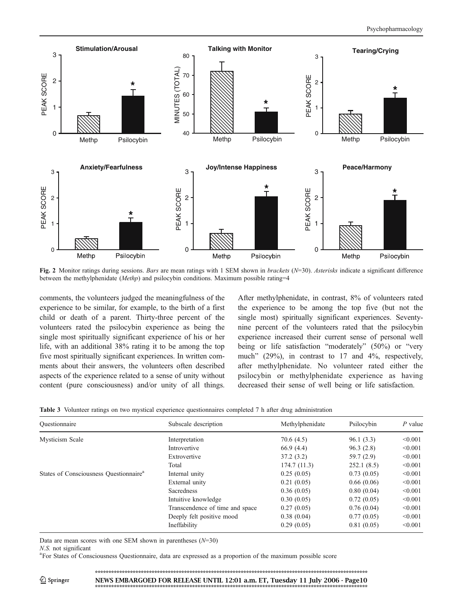<span id="page-9-0"></span>

Fig. 2 Monitor ratings during sessions. Bars are mean ratings with 1 SEM shown in brackets (N=30). Asterisks indicate a significant difference between the methylphenidate (Methp) and psilocybin conditions. Maximum possible rating=4

comments, the volunteers judged the meaningfulness of the experience to be similar, for example, to the birth of a first child or death of a parent. Thirty-three percent of the volunteers rated the psilocybin experience as being the single most spiritually significant experience of his or her life, with an additional 38% rating it to be among the top five most spiritually significant experiences. In written comments about their answers, the volunteers often described aspects of the experience related to a sense of unity without content (pure consciousness) and/or unity of all things. After methylphenidate, in contrast, 8% of volunteers rated the experience to be among the top five (but not the single most) spiritually significant experiences. Seventynine percent of the volunteers rated that the psilocybin experience increased their current sense of personal well being or life satisfaction "moderately" (50%) or "very much" (29%), in contrast to 17 and 4%, respectively, after methylphenidate. No volunteer rated either the psilocybin or methylphenidate experience as having decreased their sense of well being or life satisfaction.

|  |  |  |  |  |  |  |  | Table 3 Volunteer ratings on two mystical experience questionnaires completed 7 h after drug administration |
|--|--|--|--|--|--|--|--|-------------------------------------------------------------------------------------------------------------|
|--|--|--|--|--|--|--|--|-------------------------------------------------------------------------------------------------------------|

| Ouestionnaire                                      | Subscale description            | Methylphenidate | Psilocybin | $P$ value |
|----------------------------------------------------|---------------------------------|-----------------|------------|-----------|
| Mysticism Scale                                    | Interpretation                  | 70.6 (4.5)      | 96.1(3.3)  | < 0.001   |
|                                                    | Introvertive                    | 66.9(4.4)       | 96.3(2.8)  | < 0.001   |
|                                                    | Extrovertive                    | 37.2(3.2)       | 59.7(2.9)  | < 0.001   |
|                                                    | Total                           | 174.7(11.3)     | 252.1(8.5) | < 0.001   |
| States of Consciousness Ouestionnaire <sup>a</sup> | Internal unity                  | 0.25(0.05)      | 0.73(0.05) | < 0.001   |
|                                                    | External unity                  | 0.21(0.05)      | 0.66(0.06) | < 0.001   |
|                                                    | Sacredness                      | 0.36(0.05)      | 0.80(0.04) | < 0.001   |
|                                                    | Intuitive knowledge             | 0.30(0.05)      | 0.72(0.05) | < 0.001   |
|                                                    | Transcendence of time and space | 0.27(0.05)      | 0.76(0.04) | < 0.001   |
|                                                    | Deeply felt positive mood       | 0.38(0.04)      | 0.77(0.05) | < 0.001   |
|                                                    | Ineffability                    | 0.29(0.05)      | 0.81(0.05) | < 0.001   |

Data are mean scores with one SEM shown in parentheses  $(N=30)$ 

 $N.S.$  not significant

<sup>a</sup>For States of Consciousness Questionnaire, data are expressed as a proportion of the maximum possible score

\*\*\*\*\*\*\*\*\*\*\*\*\*\*\*\*\*\*\*\*\*\*\*\*\*\*\*\*\*\*\*\*\*\*\*\*\*\*\*\*\*\*\*\*\*\*\*\*\*\*\*\*\*\*\*\*\*\*\*\*\*\*\*\*\*\*\*\*\*\*\*\*\*\*\*\*\*\*\*\*\*\*\*\*\*\*\*\*\*\*\*\*\*\*\*\*\*\*\*\*\*

 $\mathcal{Q}$  Springer

NEWS EMBARGOED FOR RELEASE UNTIL 12:01 a.m. ET, Tuesday 11 July 2006 - Page 10 \*\*\*\*\*\*\*\*\*\*\*\*\*\*\*\*\*\*\*\*\*\*\*\*\*\*\*\*\*\*\*\*\*\*\*\*\*\*\*\*\*\*\*\*\*\*\*\*\*\*\*\*\*\*\*\*\*\*\*\*\*\*\*\*\*\*\*\*\*\*\*\*\*\*\*\*\*\*\*\*\*\*\*\*\*\*\*\*\*\*\*\*\*\*\*\*\*\*\*\*\*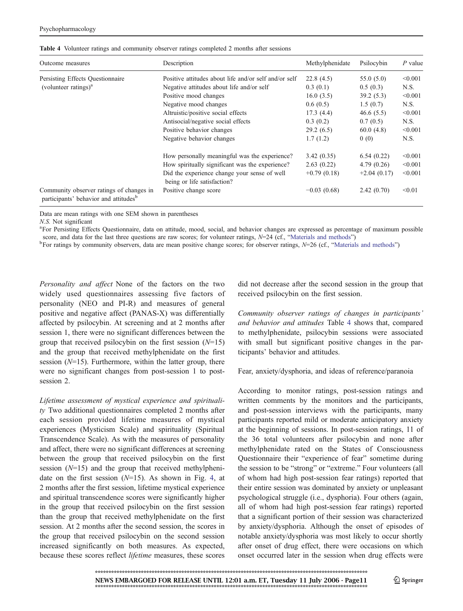<span id="page-10-0"></span>

|  | Table 4 Volunteer ratings and community observer ratings completed 2 months after sessions |  |  |  |  |  |
|--|--------------------------------------------------------------------------------------------|--|--|--|--|--|
|--|--------------------------------------------------------------------------------------------|--|--|--|--|--|

| Outcome measures                                                                              | Description                                                                 | Methylphenidate | Psilocybin    | $P$ value |
|-----------------------------------------------------------------------------------------------|-----------------------------------------------------------------------------|-----------------|---------------|-----------|
| Persisting Effects Questionnaire                                                              | Positive attitudes about life and/or self and/or self                       | 22.8(4.5)       | 55.0 $(5.0)$  | < 0.001   |
| (volunteer ratings) $^{\rm a}$                                                                | Negative attitudes about life and/or self                                   | 0.3(0.1)        | 0.5(0.3)      | N.S.      |
|                                                                                               | Positive mood changes                                                       | 16.0(3.5)       | 39.2(5.3)     | < 0.001   |
|                                                                                               | Negative mood changes                                                       | 0.6(0.5)        | 1.5(0.7)      | N.S.      |
|                                                                                               | Altruistic/positive social effects                                          | 17.3(4.4)       | 46.6(5.5)     | < 0.001   |
|                                                                                               | Antisocial/negative social effects                                          | 0.3(0.2)        | 0.7(0.5)      | N.S.      |
|                                                                                               | Positive behavior changes                                                   | 29.2(6.5)       | 60.0(4.8)     | < 0.001   |
|                                                                                               | Negative behavior changes                                                   | 1.7(1.2)        | 0(0)          | N.S.      |
|                                                                                               | How personally meaningful was the experience?                               | 3.42(0.35)      | 6.54(0.22)    | < 0.001   |
|                                                                                               | How spiritually significant was the experience?                             | 2.63(0.22)      | 4.79(0.26)    | < 0.001   |
|                                                                                               | Did the experience change your sense of well<br>being or life satisfaction? | $+0.79(0.18)$   | $+2.04(0.17)$ | < 0.001   |
| Community observer ratings of changes in<br>participants' behavior and attitudes <sup>b</sup> | Positive change score                                                       | $-0.03(0.68)$   | 2.42(0.70)    | < 0.01    |

Data are mean ratings with one SEM shown in parentheses

 $N.S.$  Not significant

For Persisting Effects Questionnaire, data on attitude, mood, social, and behavior changes are expressed as percentage of maximum possible score, and data for the last three questions are raw scores; for volunteer ratings,  $N=24$  (cf., "[Materials and methods](#page-1-0)")

<sup>b</sup>For ratings by community observers, data are mean positive change scores; for observer ratings,  $N=26$  (cf., "[Materials and methods](#page-1-0)")

Personality and affect None of the factors on the two widely used questionnaires assessing five factors of personality (NEO and PI-R) and measures of general positive and negative affect (PANAS-X) was differentially affected by psilocybin. At screening and at 2 months after session 1, there were no significant differences between the group that received psilocybin on the first session  $(N=15)$ and the group that received methylphenidate on the first session  $(N=15)$ . Furthermore, within the latter group, there were no significant changes from post-session 1 to postsession 2.

Lifetime assessment of mystical experience and spirituality Two additional questionnaires completed 2 months after each session provided lifetime measures of mystical experiences (Mysticism Scale) and spirituality (Spiritual Transcendence Scale). As with the measures of personality and affect, there were no significant differences at screening between the group that received psilocybin on the first session  $(N=15)$  and the group that received methylphenidate on the first session  $(N=15)$ . As shown in Fig. [4](#page-12-0), at 2 months after the first session, lifetime mystical experience and spiritual transcendence scores were significantly higher in the group that received psilocybin on the first session than the group that received methylphenidate on the first session. At 2 months after the second session, the scores in the group that received psilocybin on the second session increased significantly on both measures. As expected, because these scores reflect lifetime measures, these scores did not decrease after the second session in the group that received psilocybin on the first session.

Community observer ratings of changes in participants' and behavior and attitudes Table 4 shows that, compared to methylphenidate, psilocybin sessions were associated with small but significant positive changes in the participants' behavior and attitudes.

Fear, anxiety/dysphoria, and ideas of reference/paranoia

According to monitor ratings, post-session ratings and written comments by the monitors and the participants, and post-session interviews with the participants, many participants reported mild or moderate anticipatory anxiety at the beginning of sessions. In post-session ratings, 11 of the 36 total volunteers after psilocybin and none after methylphenidate rated on the States of Consciousness Questionnaire their "experience of fear" sometime during the session to be "strong" or "extreme." Four volunteers (all of whom had high post-session fear ratings) reported that their entire session was dominated by anxiety or unpleasant psychological struggle (i.e., dysphoria). Four others (again, all of whom had high post-session fear ratings) reported that a significant portion of their session was characterized by anxiety/dysphoria. Although the onset of episodes of notable anxiety/dysphoria was most likely to occur shortly after onset of drug effect, there were occasions on which onset occurred later in the session when drug effects were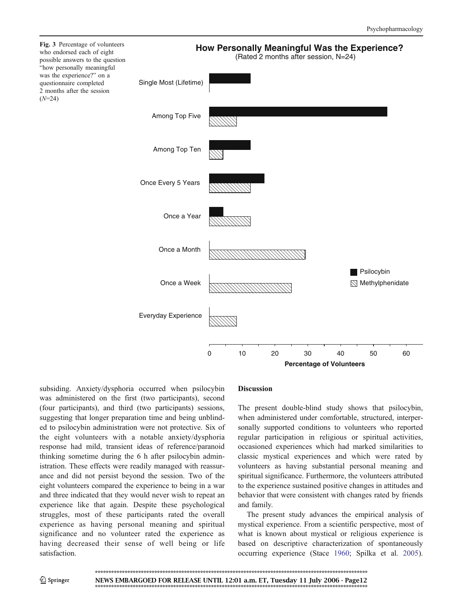<span id="page-11-0"></span>

subsiding. Anxiety/dysphoria occurred when psilocybin was administered on the first (two participants), second (four participants), and third (two participants) sessions, suggesting that longer preparation time and being unblinded to psilocybin administration were not protective. Six of the eight volunteers with a notable anxiety/dysphoria response had mild, transient ideas of reference/paranoid thinking sometime during the 6 h after psilocybin administration. These effects were readily managed with reassurance and did not persist beyond the session. Two of the eight volunteers compared the experience to being in a war and three indicated that they would never wish to repeat an experience like that again. Despite these psychological struggles, most of these participants rated the overall experience as having personal meaning and spiritual significance and no volunteer rated the experience as having decreased their sense of well being or life satisfaction.

#### Discussion

The present double-blind study shows that psilocybin, when administered under comfortable, structured, interpersonally supported conditions to volunteers who reported regular participation in religious or spiritual activities, occasioned experiences which had marked similarities to classic mystical experiences and which were rated by volunteers as having substantial personal meaning and spiritual significance. Furthermore, the volunteers attributed to the experience sustained positive changes in attitudes and behavior that were consistent with changes rated by friends and family.

The present study advances the empirical analysis of mystical experience. From a scientific perspective, most of what is known about mystical or religious experience is based on descriptive characterization of spontaneously occurring experience (Stace [1960;](#page-15-0) Spilka et al. [2005\)](#page-15-0).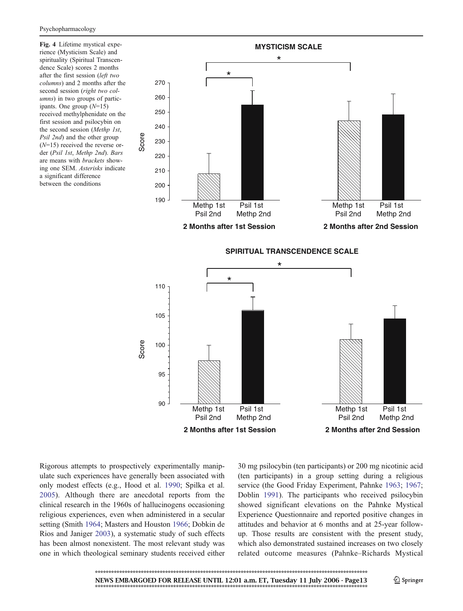<span id="page-12-0"></span>Fig. 4 Lifetime mystical experience (Mysticism Scale) and spirituality (Spiritual Transcendence Scale) scores 2 months after the first session (left two columns) and 2 months after the second session (right two columns) in two groups of participants. One group  $(N=15)$ received methylphenidate on the first session and psilocybin on the second session (Methp 1st, Psil 2nd) and the other group  $(N=15)$  received the reverse order (Psil 1st, Methp 2nd). Bars are means with brackets showing one SEM. Asterisks indicate a significant difference between the conditions



Rigorous attempts to prospectively experimentally manipulate such experiences have generally been associated with only modest effects (e.g., Hood et al. [1990;](#page-14-0) Spilka et al. [2005](#page-15-0)). Although there are anecdotal reports from the clinical research in the 1960s of hallucinogens occasioning religious experiences, even when administered in a secular setting (Smith [1964](#page-15-0); Masters and Houston [1966;](#page-15-0) Dobkin de Rios and Janiger [2003\)](#page-14-0), a systematic study of such effects has been almost nonexistent. The most relevant study was one in which theological seminary students received either 30 mg psilocybin (ten participants) or 200 mg nicotinic acid (ten participants) in a group setting during a religious service (the Good Friday Experiment, Pahnke [1963](#page-15-0); [1967;](#page-15-0) Doblin [1991\)](#page-14-0). The participants who received psilocybin showed significant elevations on the Pahnke Mystical Experience Questionnaire and reported positive changes in attitudes and behavior at 6 months and at 25-year followup. Those results are consistent with the present study, which also demonstrated sustained increases on two closely related outcome measures (Pahnke–Richards Mystical

**2 Months after 2nd Session**

**2 Months after 1st Session**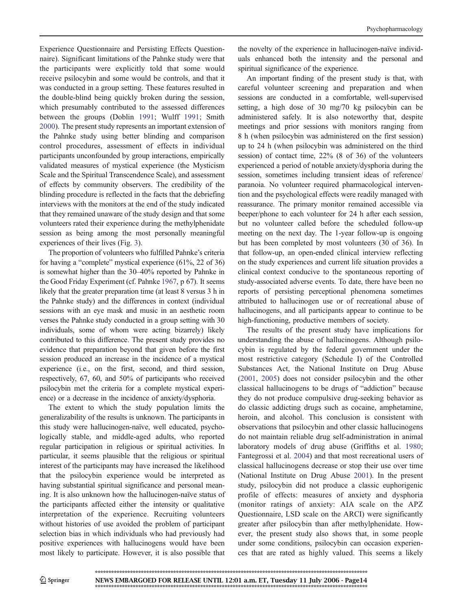Experience Questionnaire and Persisting Effects Questionnaire). Significant limitations of the Pahnke study were that the participants were explicitly told that some would receive psilocybin and some would be controls, and that it was conducted in a group setting. These features resulted in the double-blind being quickly broken during the session, which presumably contributed to the assessed differences between the groups (Doblin [1991;](#page-14-0) Wulff [1991;](#page-15-0) Smith [2000\)](#page-15-0). The present study represents an important extension of the Pahnke study using better blinding and comparison control procedures, assessment of effects in individual participants unconfounded by group interactions, empirically validated measures of mystical experience (the Mysticism Scale and the Spiritual Transcendence Scale), and assessment of effects by community observers. The credibility of the blinding procedure is reflected in the facts that the debriefing interviews with the monitors at the end of the study indicated that they remained unaware of the study design and that some volunteers rated their experience during the methylphenidate session as being among the most personally meaningful experiences of their lives (Fig. [3\)](#page-11-0).

The proportion of volunteers who fulfilled Pahnke's criteria for having a "complete" mystical experience (61%, 22 of 36) is somewhat higher than the 30–40% reported by Pahnke in the Good Friday Experiment (cf. Pahnke [1967](#page-15-0), p 67). It seems likely that the greater preparation time (at least 8 versus 3 h in the Pahnke study) and the differences in context (individual sessions with an eye mask and music in an aesthetic room verses the Pahnke study conducted in a group setting with 30 individuals, some of whom were acting bizarrely) likely contributed to this difference. The present study provides no evidence that preparation beyond that given before the first session produced an increase in the incidence of a mystical experience (i.e., on the first, second, and third session, respectively, 67, 60, and 50% of participants who received psilocybin met the criteria for a complete mystical experience) or a decrease in the incidence of anxiety/dysphoria.

The extent to which the study population limits the generalizability of the results is unknown. The participants in this study were hallucinogen-naïve, well educated, psychologically stable, and middle-aged adults, who reported regular participation in religious or spiritual activities. In particular, it seems plausible that the religious or spiritual interest of the participants may have increased the likelihood that the psilocybin experience would be interpreted as having substantial spiritual significance and personal meaning. It is also unknown how the hallucinogen-naïve status of the participants affected either the intensity or qualitative interpretation of the experience. Recruiting volunteers without histories of use avoided the problem of participant selection bias in which individuals who had previously had positive experiences with hallucinogens would have been most likely to participate. However, it is also possible that

the novelty of the experience in hallucinogen-naïve individuals enhanced both the intensity and the personal and spiritual significance of the experience.

An important finding of the present study is that, with careful volunteer screening and preparation and when sessions are conducted in a comfortable, well-supervised setting, a high dose of 30 mg/70 kg psilocybin can be administered safely. It is also noteworthy that, despite meetings and prior sessions with monitors ranging from 8 h (when psilocybin was administered on the first session) up to 24 h (when psilocybin was administered on the third session) of contact time, 22% (8 of 36) of the volunteers experienced a period of notable anxiety/dysphoria during the session, sometimes including transient ideas of reference/ paranoia. No volunteer required pharmacological intervention and the psychological effects were readily managed with reassurance. The primary monitor remained accessible via beeper/phone to each volunteer for 24 h after each session, but no volunteer called before the scheduled follow-up meeting on the next day. The 1-year follow-up is ongoing but has been completed by most volunteers (30 of 36). In that follow-up, an open-ended clinical interview reflecting on the study experiences and current life situation provides a clinical context conducive to the spontaneous reporting of study-associated adverse events. To date, there have been no reports of persisting perceptional phenomena sometimes attributed to hallucinogen use or of recreational abuse of hallucinogens, and all participants appear to continue to be high-functioning, productive members of society.

The results of the present study have implications for understanding the abuse of hallucinogens. Although psilocybin is regulated by the federal government under the most restrictive category (Schedule I) of the Controlled Substances Act, the National Institute on Drug Abuse [\(2001](#page-15-0), [2005](#page-15-0)) does not consider psilocybin and the other classical hallucinogens to be drugs of "addiction" because they do not produce compulsive drug-seeking behavior as do classic addicting drugs such as cocaine, amphetamine, heroin, and alcohol. This conclusion is consistent with observations that psilocybin and other classic hallucinogens do not maintain reliable drug self-administration in animal laboratory models of drug abuse (Griffiths et al. [1980;](#page-14-0) Fantegrossi et al. [2004](#page-14-0)) and that most recreational users of classical hallucinogens decrease or stop their use over time (National Institute on Drug Abuse [2001](#page-15-0)). In the present study, psilocybin did not produce a classic euphorigenic profile of effects: measures of anxiety and dysphoria (monitor ratings of anxiety: AIA scale on the APZ Questionnaire, LSD scale on the ARCI) were significantly greater after psilocybin than after methylphenidate. However, the present study also shows that, in some people under some conditions, psilocybin can occasion experiences that are rated as highly valued. This seems a likely

\*\*\*\*\*\*\*\*\*\*\*\*\*\*\*\*\*\*\*\*\*\*\*\*\*\*\*\*\*\*\*\*\*\*\*\*\*\*\*\*\*\*\*\*\*\*\*\*\*\*\*\*\*\*\*\*\*\*\*\*\*\*\*\*\*\*\*\*\*\*\*\*\*\*\*\*\*\*\*\*\*\*\*\*\*\*\*\*\*\*\*\*\*\*\*\*\*\*\*\*\* NEWS EMBARGOED FOR RELEASE UNTIL 12:01 a.m. ET, Tuesday 11 July 2006 - Page 14 \*\*\*\*\*\*\*\*\*\*\*\*\*\*\*\*\*\*\*\*\*\*\*\*\*\*\*\*\*\*\*\*\*\*\*\*\*\*\*\*\*\*\*\*\*\*\*\*\*\*\*\*\*\*\*\*\*\*\*\*\*\*\*\*\*\*\*\*\*\*\*\*\*\*\*\*\*\*\*\*\*\*\*\*\*\*\*\*\*\*\*\*\*\*\*\*\*\*\*\*\*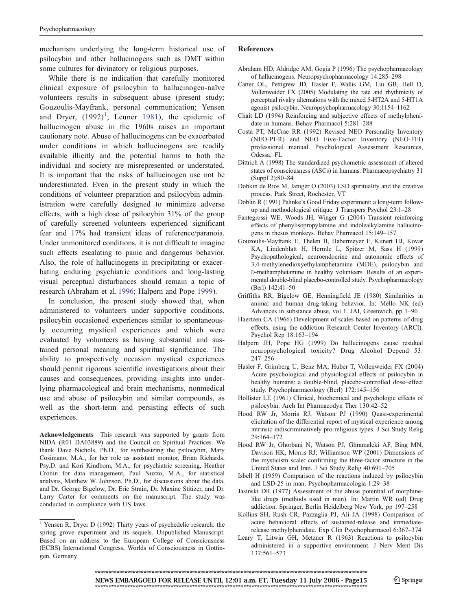<span id="page-14-0"></span>mechanism underlying the long-term historical use of psilocybin and other hallucinogens such as DMT within some cultures for divinatory or religious purposes.

While there is no indication that carefully monitored clinical exposure of psilocybin to hallucinogen-naïve volunteers results in subsequent abuse (present study; Gouzoulis-Mayfrank, personal communication; Yensen and Dryer,  $(1992)^1$ ; Leuner [1981\)](#page-15-0), the epidemic of hallucinogen abuse in the 1960s raises an important cautionary note. Abuse of hallucinogens can be exacerbated under conditions in which hallucinogens are readily available illicitly and the potential harms to both the individual and society are misrepresented or understated. It is important that the risks of hallucinogen use not be underestimated. Even in the present study in which the conditions of volunteer preparation and psilocybin administration were carefully designed to minimize adverse effects, with a high dose of psilocybin 31% of the group of carefully screened volunteers experienced significant fear and 17% had transient ideas of reference/paranoia. Under unmonitored conditions, it is not difficult to imagine such effects escalating to panic and dangerous behavior. Also, the role of hallucinogens in precipitating or exacerbating enduring psychiatric conditions and long-lasting visual perceptual disturbances should remain a topic of research (Abraham et al. 1996; Halpern and Pope 1999).

In conclusion, the present study showed that, when administered to volunteers under supportive conditions, psilocybin occasioned experiences similar to spontaneously occurring mystical experiences and which were evaluated by volunteers as having substantial and sustained personal meaning and spiritual significance. The ability to prospectively occasion mystical experiences should permit rigorous scientific investigations about their causes and consequences, providing insights into underlying pharmacological and brain mechanisms, nonmedical use and abuse of psilocybin and similar compounds, as well as the short-term and persisting effects of such experiences.

Acknowledgements This research was supported by grants from NIDA (R01 DA03889) and the Council on Spiritual Practices. We thank Dave Nichols, Ph.D., for synthesizing the psilocybin, Mary Cosimano, M.A., for her role as assistant monitor, Brian Richards, Psy.D. and Kori Kindbom, M.A., for psychiatric screening, Heather Cronin for data management, Paul Nuzzo, M.A., for statistical analysis, Matthew W. Johnson, Ph.D., for discussions about the data, and Dr. George Bigelow, Dr. Eric Strain, Dr. Maxine Stitizer, and Dr. Larry Carter for comments on the manuscript. The study was conducted in compliance with US laws.

# References

- Abraham HD, Aldridge AM, Gogia P (1996) The psychopharmacology of hallucinogens. Neuropsychopharmacology 14:285–298
- Carter OL, Pettigrew JD, Hasler F, Wallis GM, Liu GB, Hell D, Vollenweider FX (2005) Modulating the rate and rhythmicity of perceptual rivalry alternations with the mixed 5-HT2A and 5-HT1A agonist psilocybin. Neuropsychopharmacology 30:1154–1162
- Chait LD (1994) Reinforcing and subjective effects of methylphenidate in humans. Behav Pharmacol 5:281–288
- Costa PT, McCrae RR (1992) Revised NEO Personality Inventory (NEO-PI-R) and NEO Five-Factor Inventory (NEO-FFI) professional manual. Psychological Assessment Resources, Odessa, FL
- Dittrich A (1998) The standardized psychometric assessment of altered states of consciousness (ASCs) in humans. Pharmacopsychiatry 31 (Suppl 2):80–84
- Dobkin de Rios M, Janiger O (2003) LSD spirituality and the creative process. Park Street, Rochester, VT
- Doblin R (1991) Pahnke's Good Friday experiment: a long-term followup and methodological critique. J Transpers Psychol 23:1–28
- Fantegrossi WE, Woods JH, Winger G (2004) Transient reinforcing effects of phenylisopropylamine and indolealkylamine hallucinogens in rhesus monkeys. Behav Pharmacol 15:149–157
- Gouzoulis-Mayfrank E, Thelen B, Habermeyer E, Kunert HJ, Kovar KA, Lindenblatt H, Hermle L, Spitzer M, Sass H (1999) Psychopathological, neuroendocrine and autonomic effects of 3,4-methylenedioxyethylamphetamine (MDE), psilocybin and D-methamphetamine in healthy volunteers. Results of an experimental double-blind placebo-controlled study. Psychopharmacology (Berl) 142:41–50
- Griffiths RR, Bigelow GE, Henningfield JE (1980) Similarities in animal and human drug-taking behavior. In: Mello NK (ed) Advances in substance abuse, vol 1. JAI, Greenwich, pp 1–90
- Haertzen CA (1966) Development of scales based on patterns of drug effects, using the addiction Research Center Inventory (ARCI). Psychol Rep 18:163–194
- Halpern JH, Pope HG (1999) Do hallucinogens cause residual neuropsychological toxicity? Drug Alcohol Depend 53: 247–256
- Hasler F, Grimberg U, Benz MA, Huber T, Vollenweider FX (2004) Acute psychological and physiological effects of psilocybin in healthy humans: a double-blind, placebo-controlled dose–effect study. Psychopharmacology (Berl) 172:145–156
- Hollister LE (1961) Clinical, biochemical and psychologic effects of psilocybin. Arch Int Pharmacodyn Ther 130:42–52
- Hood RW Jr, Morris RJ, Watson PJ (1990) Quasi-experimental elicitation of the differential report of mystical experience among intrinsic indiscriminatively pro-religious types. J Sci Study Relig 29:164–172
- Hood RW Jr, Ghorbani N, Watson PJ, Ghramaleki AF, Bing MN, Davison HK, Morris RJ, Williamson WP (2001) Dimensions of the mysticism scale: confirming the three-factor structure in the United States and Iran. J Sci Study Relig 40:691–705
- Isbell H (1959) Comparison of the reactions induced by psilocybin and LSD-25 in man. Psychopharmacologia 1:29–38
- Jasinski DR (1977) Assessment of the abuse potential of morphinelike drugs (methods used in man). In: Martin WR (ed) Drug addiction. Springer, Berlin Heidelberg New York, pp 197–258
- Kollins SH, Rush CR, Pazzaglia PJ, Ali JA (1998) Comparison of acute behavioral effects of sustained-release and immediaterelease methylphenidate. Exp Clin Psychopharmacol 6:367–374
- Leary T, Litwin GH, Metzner R (1963) Reactions to psilocybin administered in a supportive environment. J Nerv Ment Dis 137:561–573

\*\*\*\*\*\*\*\*\*\*\*\*\*\*\*\*\*\*\*\*\*\*\*\*\*\*\*\*\*\*\*\*\*\*\*\*\*\*\*\*\*\*\*\*\*\*\*\*\*\*\*\*\*\*\*\*\*\*\*\*\*\*\*\*\*\*\*\*\*\*\*\*\*\*\*\*\*\*\*\*\*\*\*\*\*\*\*\*\*\*\*\*\*\*\*\*\*\*\*\*\* NEWS EMBARGOED FOR RELEASE UNTIL 12:01 a.m. ET, Tuesday 11 July 2006 - Page 15 \*\*\*\*\*\*\*\*\*\*\*\*\*\*\*\*\*\*\*\*\*\*\*\*\*\*\*\*\*\*\*\*\*\*\*\*\*\*\*\*\*\*\*\*\*\*\*\*\*\*\*\*\*\*\*\*\*\*\*\*\*\*\*\*\*\*\*\*\*\*\*\*\*\*\*\*\*\*\*\*\*\*\*\*\*\*\*\*\*\*\*\*\*\*\*\*\*\*\*\*\*

<sup>1</sup> Yensen R, Dryer D (1992) Thirty years of psychedelic research: the spring grove experiment and its sequels. Unpublished Manuscript. Based on an address to the European College of Consciousness (ECBS) International Congress, Worlds of Consciousness in Gottingen, Germany